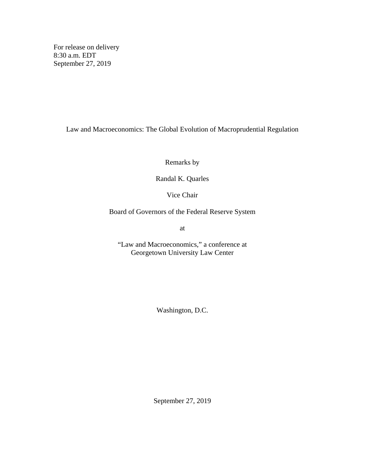For release on delivery 8:30 a.m. EDT September 27, 2019

Law and Macroeconomics: The Global Evolution of Macroprudential Regulation

Remarks by

Randal K. Quarles

Vice Chair

Board of Governors of the Federal Reserve System

at

"Law and Macroeconomics," a conference at Georgetown University Law Center

Washington, D.C.

September 27, 2019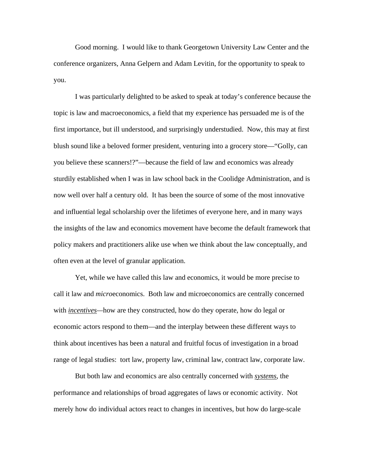Good morning. I would like to thank Georgetown University Law Center and the conference organizers, Anna Gelpern and Adam Levitin, for the opportunity to speak to you.

I was particularly delighted to be asked to speak at today's conference because the topic is law and macroeconomics, a field that my experience has persuaded me is of the first importance, but ill understood, and surprisingly understudied. Now, this may at first blush sound like a beloved former president, venturing into a grocery store—"Golly, can you believe these scanners!?"—because the field of law and economics was already sturdily established when I was in law school back in the Coolidge Administration, and is now well over half a century old. It has been the source of some of the most innovative and influential legal scholarship over the lifetimes of everyone here, and in many ways the insights of the law and economics movement have become the default framework that policy makers and practitioners alike use when we think about the law conceptually, and often even at the level of granular application.

Yet, while we have called this law and economics, it would be more precise to call it law and *micro*economics. Both law and microeconomics are centrally concerned with *incentives—*how are they constructed, how do they operate, how do legal or economic actors respond to them—and the interplay between these different ways to think about incentives has been a natural and fruitful focus of investigation in a broad range of legal studies: tort law, property law, criminal law, contract law, corporate law.

But both law and economics are also centrally concerned with *systems*, the performance and relationships of broad aggregates of laws or economic activity. Not merely how do individual actors react to changes in incentives, but how do large-scale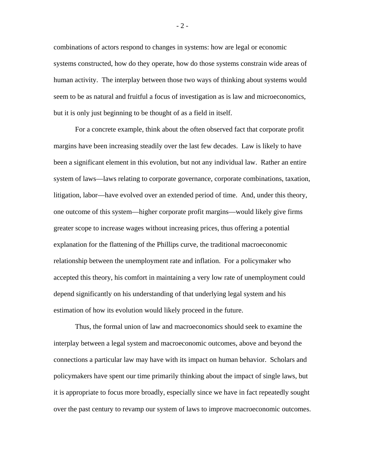combinations of actors respond to changes in systems: how are legal or economic systems constructed, how do they operate, how do those systems constrain wide areas of human activity. The interplay between those two ways of thinking about systems would seem to be as natural and fruitful a focus of investigation as is law and microeconomics, but it is only just beginning to be thought of as a field in itself.

For a concrete example, think about the often observed fact that corporate profit margins have been increasing steadily over the last few decades. Law is likely to have been a significant element in this evolution, but not any individual law. Rather an entire system of laws—laws relating to corporate governance, corporate combinations, taxation, litigation, labor—have evolved over an extended period of time. And, under this theory, one outcome of this system—higher corporate profit margins—would likely give firms greater scope to increase wages without increasing prices, thus offering a potential explanation for the flattening of the Phillips curve, the traditional macroeconomic relationship between the unemployment rate and inflation. For a policymaker who accepted this theory, his comfort in maintaining a very low rate of unemployment could depend significantly on his understanding of that underlying legal system and his estimation of how its evolution would likely proceed in the future.

Thus, the formal union of law and macroeconomics should seek to examine the interplay between a legal system and macroeconomic outcomes, above and beyond the connections a particular law may have with its impact on human behavior. Scholars and policymakers have spent our time primarily thinking about the impact of single laws, but it is appropriate to focus more broadly, especially since we have in fact repeatedly sought over the past century to revamp our system of laws to improve macroeconomic outcomes.

- 2 -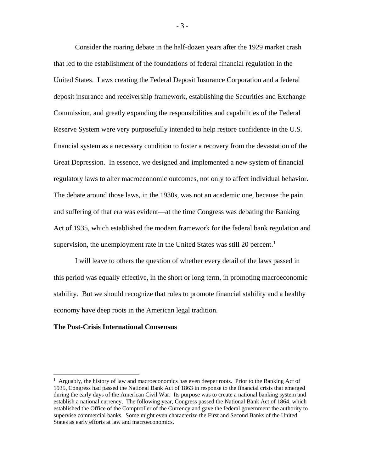Consider the roaring debate in the half-dozen years after the 1929 market crash that led to the establishment of the foundations of federal financial regulation in the United States. Laws creating the Federal Deposit Insurance Corporation and a federal deposit insurance and receivership framework, establishing the Securities and Exchange Commission, and greatly expanding the responsibilities and capabilities of the Federal Reserve System were very purposefully intended to help restore confidence in the U.S. financial system as a necessary condition to foster a recovery from the devastation of the Great Depression. In essence, we designed and implemented a new system of financial regulatory laws to alter macroeconomic outcomes, not only to affect individual behavior. The debate around those laws, in the 1930s, was not an academic one, because the pain and suffering of that era was evident—at the time Congress was debating the Banking Act of 1935, which established the modern framework for the federal bank regulation and supervision, the unemployment rate in the United States was still 20 percent.<sup>[1](#page-3-0)</sup>

I will leave to others the question of whether every detail of the laws passed in this period was equally effective, in the short or long term, in promoting macroeconomic stability. But we should recognize that rules to promote financial stability and a healthy economy have deep roots in the American legal tradition.

#### **The Post-Crisis International Consensus**

- 3 -

<span id="page-3-0"></span> $\frac{1}{1}$  $\frac{1}{1}$  Arguably, the history of law and macroeconomics has even deeper roots. Prior to the Banking Act of 1935, Congress had passed the National Bank Act of 1863 in response to the financial crisis that emerged during the early days of the American Civil War. Its purpose was to create a national banking system and establish a national currency. The following year, Congress passed the National Bank Act of 1864, which established the Office of the Comptroller of the Currency and gave the federal government the authority to supervise commercial banks. Some might even characterize the First and Second Banks of the United States as early efforts at law and macroeconomics.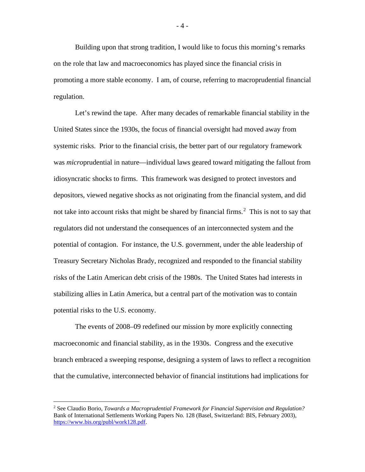Building upon that strong tradition, I would like to focus this morning's remarks on the role that law and macroeconomics has played since the financial crisis in promoting a more stable economy. I am, of course, referring to macroprudential financial regulation.

Let's rewind the tape. After many decades of remarkable financial stability in the United States since the 1930s, the focus of financial oversight had moved away from systemic risks. Prior to the financial crisis, the better part of our regulatory framework was *micro*prudential in nature—individual laws geared toward mitigating the fallout from idiosyncratic shocks to firms. This framework was designed to protect investors and depositors, viewed negative shocks as not originating from the financial system, and did not take into account risks that might be shared by financial firms.<sup>[2](#page-4-0)</sup> This is not to say that regulators did not understand the consequences of an interconnected system and the potential of contagion. For instance, the U.S. government, under the able leadership of Treasury Secretary Nicholas Brady, recognized and responded to the financial stability risks of the Latin American debt crisis of the 1980s. The United States had interests in stabilizing allies in Latin America, but a central part of the motivation was to contain potential risks to the U.S. economy.

The events of 2008–09 redefined our mission by more explicitly connecting macroeconomic and financial stability, as in the 1930s. Congress and the executive branch embraced a sweeping response, designing a system of laws to reflect a recognition that the cumulative, interconnected behavior of financial institutions had implications for

- 4 -

<span id="page-4-0"></span> <sup>2</sup> See Claudio Borio, *Towards a Macroprudential Framework for Financial Supervision and Regulation?* Bank of International Settlements Working Papers No. 128 (Basel, Switzerland: BIS, February 2003), [https://www.bis.org/publ/work128.pdf.](https://www.bis.org/publ/work128.pdf)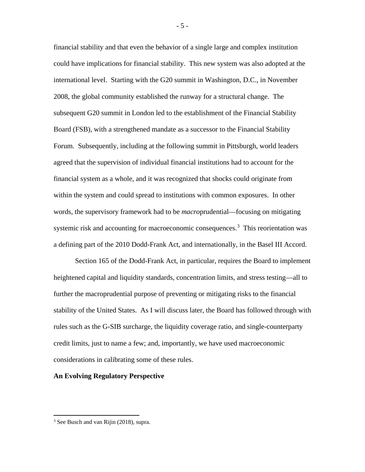financial stability and that even the behavior of a single large and complex institution could have implications for financial stability. This new system was also adopted at the international level. Starting with the G20 summit in Washington, D.C., in November 2008, the global community established the runway for a structural change. The subsequent G20 summit in London led to the establishment of the Financial Stability Board (FSB), with a strengthened mandate as a successor to the Financial Stability Forum. Subsequently, including at the following summit in Pittsburgh, world leaders agreed that the supervision of individual financial institutions had to account for the financial system as a whole, and it was recognized that shocks could originate from within the system and could spread to institutions with common exposures. In other words, the supervisory framework had to be *macro*prudential—focusing on mitigating systemic risk and accounting for macroeconomic consequences.<sup>[3](#page-5-0)</sup> This reorientation was a defining part of the 2010 Dodd-Frank Act, and internationally, in the Basel III Accord.

Section 165 of the Dodd-Frank Act, in particular, requires the Board to implement heightened capital and liquidity standards, concentration limits, and stress testing—all to further the macroprudential purpose of preventing or mitigating risks to the financial stability of the United States. As I will discuss later, the Board has followed through with rules such as the G-SIB surcharge, the liquidity coverage ratio, and single-counterparty credit limits, just to name a few; and, importantly, we have used macroeconomic considerations in calibrating some of these rules.

## **An Evolving Regulatory Perspective**

- 5 -

<span id="page-5-0"></span><sup>&</sup>lt;sup>3</sup> See Busch and van Rijin (2018), supra.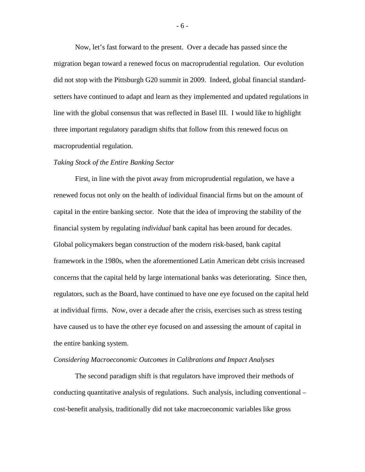Now, let's fast forward to the present. Over a decade has passed since the migration began toward a renewed focus on macroprudential regulation. Our evolution did not stop with the Pittsburgh G20 summit in 2009. Indeed, global financial standardsetters have continued to adapt and learn as they implemented and updated regulations in line with the global consensus that was reflected in Basel III. I would like to highlight three important regulatory paradigm shifts that follow from this renewed focus on macroprudential regulation.

#### *Taking Stock of the Entire Banking Sector*

First, in line with the pivot away from microprudential regulation, we have a renewed focus not only on the health of individual financial firms but on the amount of capital in the entire banking sector. Note that the idea of improving the stability of the financial system by regulating *individual* bank capital has been around for decades. Global policymakers began construction of the modern risk-based, bank capital framework in the 1980s, when the aforementioned Latin American debt crisis increased concerns that the capital held by large international banks was deteriorating. Since then, regulators, such as the Board, have continued to have one eye focused on the capital held at individual firms. Now, over a decade after the crisis, exercises such as stress testing have caused us to have the other eye focused on and assessing the amount of capital in the entire banking system.

## *Considering Macroeconomic Outcomes in Calibrations and Impact Analyses*

The second paradigm shift is that regulators have improved their methods of conducting quantitative analysis of regulations. Such analysis, including conventional – cost-benefit analysis, traditionally did not take macroeconomic variables like gross

- 6 -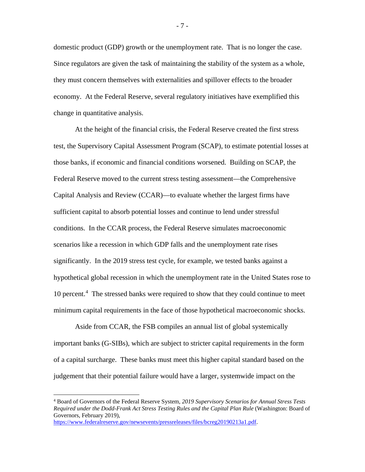domestic product (GDP) growth or the unemployment rate. That is no longer the case. Since regulators are given the task of maintaining the stability of the system as a whole, they must concern themselves with externalities and spillover effects to the broader economy. At the Federal Reserve, several regulatory initiatives have exemplified this change in quantitative analysis.

At the height of the financial crisis, the Federal Reserve created the first stress test, the Supervisory Capital Assessment Program (SCAP), to estimate potential losses at those banks, if economic and financial conditions worsened. Building on SCAP, the Federal Reserve moved to the current stress testing assessment—the Comprehensive Capital Analysis and Review (CCAR)—to evaluate whether the largest firms have sufficient capital to absorb potential losses and continue to lend under stressful conditions. In the CCAR process, the Federal Reserve simulates macroeconomic scenarios like a recession in which GDP falls and the unemployment rate rises significantly. In the 2019 stress test cycle, for example, we tested banks against a hypothetical global recession in which the unemployment rate in the United States rose to 10 percent.<sup>[4](#page-7-0)</sup> The stressed banks were required to show that they could continue to meet minimum capital requirements in the face of those hypothetical macroeconomic shocks.

Aside from CCAR, the FSB compiles an annual list of global systemically important banks (G-SIBs), which are subject to stricter capital requirements in the form of a capital surcharge. These banks must meet this higher capital standard based on the judgement that their potential failure would have a larger, systemwide impact on the

<span id="page-7-0"></span> <sup>4</sup> Board of Governors of the Federal Reserve System, *2019 Supervisory Scenarios for Annual Stress Tests Required under the Dodd-Frank Act Stress Testing Rules and the Capital Plan Rule* (Washington: Board of Governors, February 2019),

[https://www.federalreserve.gov/newsevents/pressreleases/files/bcreg20190213a1.pdf.](https://www.federalreserve.gov/newsevents/pressreleases/files/bcreg20190213a1.pdf)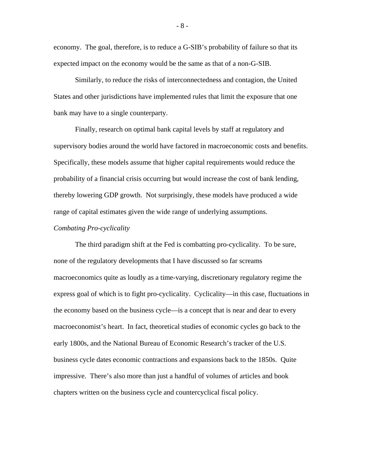economy. The goal, therefore, is to reduce a G-SIB's probability of failure so that its expected impact on the economy would be the same as that of a non-G-SIB.

Similarly, to reduce the risks of interconnectedness and contagion, the United States and other jurisdictions have implemented rules that limit the exposure that one bank may have to a single counterparty.

Finally, research on optimal bank capital levels by staff at regulatory and supervisory bodies around the world have factored in macroeconomic costs and benefits. Specifically, these models assume that higher capital requirements would reduce the probability of a financial crisis occurring but would increase the cost of bank lending, thereby lowering GDP growth. Not surprisingly, these models have produced a wide range of capital estimates given the wide range of underlying assumptions.

# *Combating Pro-cyclicality*

The third paradigm shift at the Fed is combatting pro-cyclicality. To be sure, none of the regulatory developments that I have discussed so far screams macroeconomics quite as loudly as a time-varying, discretionary regulatory regime the express goal of which is to fight pro-cyclicality. Cyclicality—in this case, fluctuations in the economy based on the business cycle—is a concept that is near and dear to every macroeconomist's heart. In fact, theoretical studies of economic cycles go back to the early 1800s, and the National Bureau of Economic Research's tracker of the U.S. business cycle dates economic contractions and expansions back to the 1850s. Quite impressive. There's also more than just a handful of volumes of articles and book chapters written on the business cycle and countercyclical fiscal policy.

- 8 -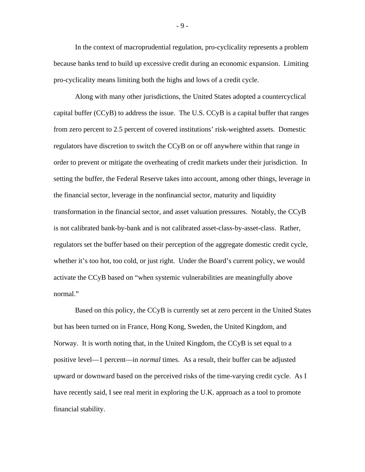In the context of macroprudential regulation, pro-cyclicality represents a problem because banks tend to build up excessive credit during an economic expansion. Limiting pro-cyclicality means limiting both the highs and lows of a credit cycle.

Along with many other jurisdictions, the United States adopted a countercyclical capital buffer (CCyB) to address the issue. The U.S. CCyB is a capital buffer that ranges from zero percent to 2.5 percent of covered institutions' risk-weighted assets. Domestic regulators have discretion to switch the CCyB on or off anywhere within that range in order to prevent or mitigate the overheating of credit markets under their jurisdiction. In setting the buffer, the Federal Reserve takes into account, among other things, leverage in the financial sector, leverage in the nonfinancial sector, maturity and liquidity transformation in the financial sector, and asset valuation pressures. Notably, the CCyB is not calibrated bank-by-bank and is not calibrated asset-class-by-asset-class. Rather, regulators set the buffer based on their perception of the aggregate domestic credit cycle, whether it's too hot, too cold, or just right. Under the Board's current policy, we would activate the CCyB based on "when systemic vulnerabilities are meaningfully above normal."

Based on this policy, the CCyB is currently set at zero percent in the United States but has been turned on in France, Hong Kong, Sweden, the United Kingdom, and Norway. It is worth noting that, in the United Kingdom, the CCyB is set equal to a positive level—1 percent—in *normal* times. As a result, their buffer can be adjusted upward or downward based on the perceived risks of the time-varying credit cycle. As I have recently said, I see real merit in exploring the U.K. approach as a tool to promote financial stability.

- 9 -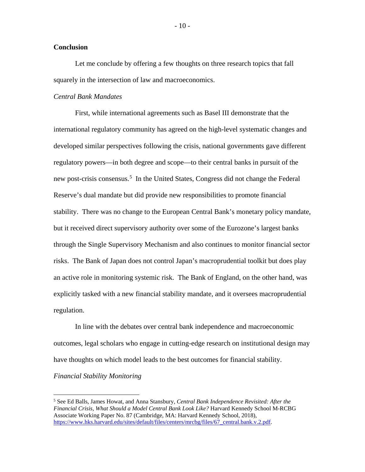## **Conclusion**

Let me conclude by offering a few thoughts on three research topics that fall squarely in the intersection of law and macroeconomics.

## *Central Bank Mandates*

First, while international agreements such as Basel III demonstrate that the international regulatory community has agreed on the high-level systematic changes and developed similar perspectives following the crisis, national governments gave different regulatory powers—in both degree and scope—to their central banks in pursuit of the new post-crisis consensus.<sup>[5](#page-10-0)</sup> In the United States, Congress did not change the Federal Reserve's dual mandate but did provide new responsibilities to promote financial stability. There was no change to the European Central Bank's monetary policy mandate, but it received direct supervisory authority over some of the Eurozone's largest banks through the Single Supervisory Mechanism and also continues to monitor financial sector risks. The Bank of Japan does not control Japan's macroprudential toolkit but does play an active role in monitoring systemic risk. The Bank of England, on the other hand, was explicitly tasked with a new financial stability mandate, and it oversees macroprudential regulation.

In line with the debates over central bank independence and macroeconomic outcomes, legal scholars who engage in cutting-edge research on institutional design may have thoughts on which model leads to the best outcomes for financial stability.

# *Financial Stability Monitoring*

<span id="page-10-0"></span> <sup>5</sup> See Ed Balls, James Howat, and Anna Stansbury, *Central Bank Independence Revisited: After the Financial Crisis, What Should a Model Central Bank Look Like?* Harvard Kennedy School M-RCBG Associate Working Paper No. 87 (Cambridge, MA: Harvard Kennedy School, 2018), [https://www.hks.harvard.edu/sites/default/files/centers/mrcbg/files/67\\_central.bank.v.2.pdf.](https://www.hks.harvard.edu/sites/default/files/centers/mrcbg/files/67_central.bank.v.2.pdf)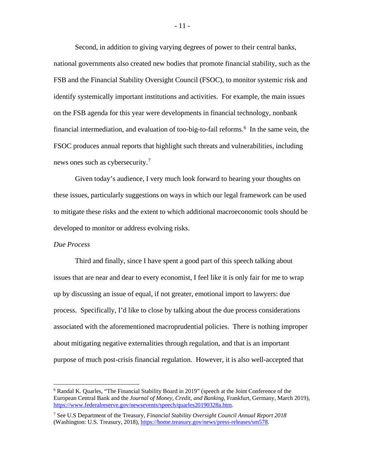Second, in addition to giving varying degrees of power to their central banks, national governments also created new bodies that promote financial stability, such as the FSB and the Financial Stability Oversight Council (FSOC), to monitor systemic risk and identify systemically important institutions and activities. For example, the main issues on the FSB agenda for this year were developments in financial technology, nonbank financial intermediation, and evaluation of too-big-to-fail reforms.<sup>[6](#page-11-0)</sup> In the same vein, the FSOC produces annual reports that highlight such threats and vulnerabilities, including news ones such as cybersecurity.<sup>[7](#page-11-1)</sup>

Given today's audience, I very much look forward to hearing your thoughts on these issues, particularly suggestions on ways in which our legal framework can be used to mitigate these risks and the extent to which additional macroeconomic tools should be developed to monitor or address evolving risks.

## *Due Process*

Third and finally, since I have spent a good part of this speech talking about issues that are near and dear to every economist, I feel like it is only fair for me to wrap up by discussing an issue of equal, if not greater, emotional import to lawyers: due process. Specifically, I'd like to close by talking about the due process considerations associated with the aforementioned macroprudential policies. There is nothing improper about mitigating negative externalities through regulation, and that is an important purpose of much post-crisis financial regulation. However, it is also well-accepted that

<span id="page-11-0"></span> <sup>6</sup> Randal K. Quarles, "The Financial Stability Board in 2019" (speech at the Joint Conference of the European Central Bank and the *Journal of Money, Credit, and Banking*, Frankfurt, Germany, March 2019), [https://www.federalreserve.gov/newsevents/speech/quarles20190328a.htm.](https://www.federalreserve.gov/newsevents/speech/quarles20190328a.htm)

<span id="page-11-1"></span><sup>7</sup> See U.S Department of the Treasury, *Financial Stability Oversight Council Annual Report 2018* (Washington: U.S. Treasury, 2018), [https://home.treasury.gov/news/press-releases/sm578.](https://home.treasury.gov/news/press-releases/sm578)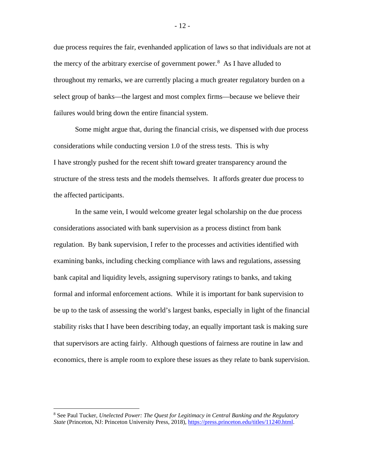due process requires the fair, evenhanded application of laws so that individuals are not at the mercy of the arbitrary exercise of government power. $8$  As I have alluded to throughout my remarks, we are currently placing a much greater regulatory burden on a select group of banks—the largest and most complex firms—because we believe their failures would bring down the entire financial system.

Some might argue that, during the financial crisis, we dispensed with due process considerations while conducting version 1.0 of the stress tests. This is why I have strongly pushed for the recent shift toward greater transparency around the structure of the stress tests and the models themselves. It affords greater due process to the affected participants.

In the same vein, I would welcome greater legal scholarship on the due process considerations associated with bank supervision as a process distinct from bank regulation. By bank supervision, I refer to the processes and activities identified with examining banks, including checking compliance with laws and regulations, assessing bank capital and liquidity levels, assigning supervisory ratings to banks, and taking formal and informal enforcement actions. While it is important for bank supervision to be up to the task of assessing the world's largest banks, especially in light of the financial stability risks that I have been describing today, an equally important task is making sure that supervisors are acting fairly. Although questions of fairness are routine in law and economics, there is ample room to explore these issues as they relate to bank supervision.

<span id="page-12-0"></span> <sup>8</sup> See Paul Tucker, *Unelected Power: The Quest for Legitimacy in Central Banking and the Regulatory State* (Princeton, NJ: Princeton University Press, 2018)[, https://press.princeton.edu/titles/11240.html.](https://press.princeton.edu/titles/11240.html)